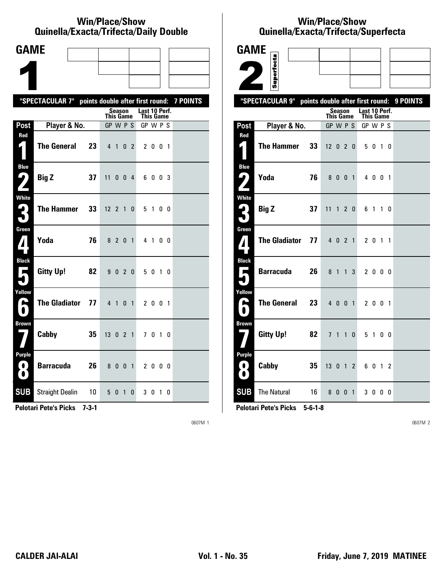#### **Win/Place/Show Qui nel la/Exacta/Tri fecta/Daily Dou ble**

| <b>GAME</b>                              |                                                           |                            |                |                            |        |  |
|------------------------------------------|-----------------------------------------------------------|----------------------------|----------------|----------------------------|--------|--|
|                                          |                                                           |                            |                |                            |        |  |
|                                          |                                                           |                            |                |                            |        |  |
|                                          | "SPECTACULAR 7" points double after first round: 7 POINTS |                            |                |                            |        |  |
|                                          |                                                           | Season<br><b>This Game</b> |                | Last 10 Perf.<br>This Game |        |  |
| Post                                     | Player & No.                                              | GP W P S                   |                | GP W P S                   |        |  |
| Red<br>1                                 | <b>The General</b><br>23                                  | 4 1                        | 0 <sub>2</sub> | 2 0 0 1                    |        |  |
| <b>Blue</b><br>9                         | <b>Big Z</b><br>37                                        | 11<br>$0 \t0 \t4$          |                | 6003                       |        |  |
| <b>White</b><br>3                        | <b>The Hammer</b><br>33                                   | $12 \t2 \t1$               | 0              | 5 1 0 0                    |        |  |
| Green<br>4                               | Yoda<br>76                                                | 8 2 0 1                    |                | 4 1 0 0                    |        |  |
| <b>Black</b><br>$\overline{\phantom{a}}$ | <b>Gitty Up!</b><br>82                                    | 9020                       |                | 5 0 1 0                    |        |  |
| Yellow<br>A                              | <b>The Gladiator</b><br>77                                | $4 \quad 1$                | 0 <sub>1</sub> | 2 0 0 1                    |        |  |
| <b>Brown</b>                             | Cabby<br>35                                               | 13 0 2 1                   |                | 7 0 1 0                    |        |  |
| <b>Purple</b><br>$\bullet$<br>$\bullet$  | <b>Barracuda</b><br>26                                    | 8 0 0 1                    |                | 2000                       |        |  |
| <b>SUB</b>                               | <b>Straight Dealin</b><br>10                              | 5 0<br>$\mathbf{1}$        | 0              | 30                         | 1<br>0 |  |

**Pelotari Pete's Picks 7-3-1**

0607M 1

# **Win/Place/Show Qui nel la/Exacta/Tri fecta/Super fecta**

| <b>GAME</b>                            |                      |    |                                  |              |                |                |                              |         |                |     |          |
|----------------------------------------|----------------------|----|----------------------------------|--------------|----------------|----------------|------------------------------|---------|----------------|-----|----------|
|                                        |                      |    |                                  |              |                |                |                              |         |                |     |          |
|                                        | Superfecta           |    |                                  |              |                |                |                              |         |                |     |          |
|                                        | "SPECTACULAR 9"      |    | points double after first round: |              |                |                |                              |         |                |     | 9 POINTS |
|                                        |                      |    |                                  | Season       |                |                | Last 10 Perf.                |         |                |     |          |
| Post                                   | Player & No.         |    | <b>This Game</b><br>GP W P S     |              |                |                | <b>This Game</b><br>GP W P S |         |                |     |          |
| Red                                    |                      |    |                                  |              |                |                |                              |         |                |     |          |
| $\mathbf{z}$ (                         | <b>The Hammer</b>    | 33 | $12 \t0 \t2 \t0$                 |              |                |                |                              | 50      | $\overline{1}$ | - 0 |          |
| <b>Blue</b>                            | Yoda                 | 76 |                                  | 8 0 0 1      |                |                |                              | 4 0 0 1 |                |     |          |
|                                        |                      |    |                                  |              |                |                |                              |         |                |     |          |
| <b>White</b><br>$\mathbf{L}_\parallel$ |                      |    |                                  |              |                |                |                              |         |                |     |          |
|                                        | <b>Big Z</b>         | 37 | 11                               |              | 120            |                |                              | 6 1 1 0 |                |     |          |
| Green                                  |                      |    |                                  |              |                |                |                              |         |                |     |          |
| $\pmb{\eta}$ is                        | <b>The Gladiator</b> | 77 |                                  | 4 0 2 1      |                |                |                              | 2 0 1 1 |                |     |          |
| <b>Black</b>                           |                      |    |                                  |              |                |                |                              |         |                |     |          |
| Е                                      | <b>Barracuda</b>     | 26 | 8 1                              |              | 1              | 3              |                              | 2 0 0 0 |                |     |          |
| Yellow                                 |                      |    |                                  |              |                |                |                              |         |                |     |          |
| $\blacktriangleright$                  | <b>The General</b>   | 23 |                                  | 4 0 0 1      |                |                |                              | 2 0 0 1 |                |     |          |
| <b>Brown</b>                           |                      |    |                                  |              |                |                |                              |         |                |     |          |
|                                        | <b>Gitty Up!</b>     | 82 | 7 <sup>1</sup>                   | $\mathbf{1}$ | $\overline{1}$ | $\bf{0}$       |                              | 5 1 0 0 |                |     |          |
| <b>Purple</b>                          |                      |    |                                  |              |                |                |                              |         |                |     |          |
| 0<br>$\bullet$                         | Cabby                | 35 | $13 \t0 \t1$                     |              |                | 2              |                              | 60      | $1\quad2$      |     |          |
| <b>SUB</b>                             | <b>The Natural</b>   | 16 |                                  | 800          |                | $\overline{1}$ |                              | 3 0 0 0 |                |     |          |

**Pelotari Pete's Picks 5-6-1-8**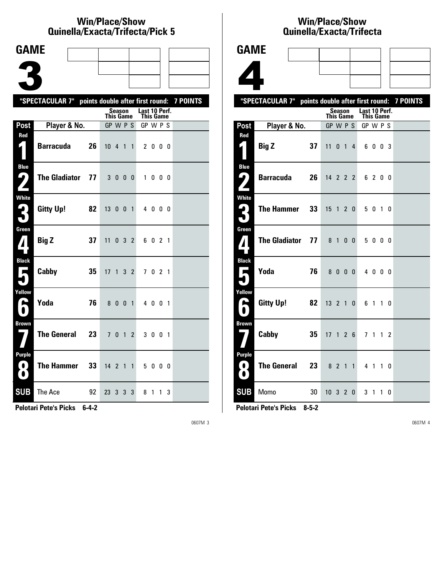### **Win/Place/Show Quinella/Exacta/Trifecta/Pick 5**

| <b>GAME</b>                                     |                                                           |    |                  |                |                |                |               |              |              |   |  |
|-------------------------------------------------|-----------------------------------------------------------|----|------------------|----------------|----------------|----------------|---------------|--------------|--------------|---|--|
|                                                 |                                                           |    |                  |                |                |                |               |              |              |   |  |
|                                                 |                                                           |    |                  |                |                |                |               |              |              |   |  |
|                                                 |                                                           |    |                  |                |                |                |               |              |              |   |  |
|                                                 | "SPECTACULAR 7" points double after first round: 7 POINTS |    |                  | <b>Season</b>  |                |                | Last 10 Perf. |              |              |   |  |
|                                                 |                                                           |    | <b>This Game</b> |                |                |                |               | This Game    |              |   |  |
| Post<br>Red                                     | Player & No.                                              |    | GP W P S         |                |                |                | GP W P S      |              |              |   |  |
| $\zeta$                                         | <b>Barracuda</b>                                          | 26 | $10 \t 4 \t 1$   |                |                | $\mathbf{1}$   |               | 2 0 0 0      |              |   |  |
| <b>Blue</b><br>( فا<br>$\overline{\phantom{a}}$ | <b>The Gladiator</b>                                      | 77 | 3 <sub>0</sub>   |                | 0 <sub>0</sub> |                | $\mathbf{1}$  |              | 000          |   |  |
| <b>White</b><br>3                               | <b>Gitty Up!</b>                                          | 82 | 13               | $\mathbf{0}$   | $\mathbf{0}$   | $\overline{1}$ |               | 4000         |              |   |  |
| Green<br>$\mathbf{Z}$                           | <b>Big Z</b>                                              | 37 | 11               |                | $0 \t3 \t2$    |                |               | 6021         |              |   |  |
| <b>Black</b><br>$\blacksquare$                  | Cabby                                                     | 35 | 17               | $\mathbf{1}$   |                | 3 <sub>2</sub> |               | 7021         |              |   |  |
| Yellow<br>A                                     | Yoda                                                      | 76 | 8                | 0              | $\mathbf{0}$   | $\overline{1}$ |               | 4 0 0 1      |              |   |  |
| <b>Brown</b>                                    | <b>The General</b>                                        | 23 |                  | 7 <sub>0</sub> | $\overline{1}$ | $\overline{2}$ |               | 3 0 0 1      |              |   |  |
| <b>Purple</b><br>$\blacksquare$<br>$\bullet$    | <b>The Hammer</b>                                         | 33 | 14 <sup>2</sup>  |                | $1\quad1$      |                |               | 5000         |              |   |  |
| <b>SUB</b>                                      | The Ace                                                   | 92 | 23               | 3              | 3              | 3              | 8             | $\mathbf{1}$ | $\mathbf{1}$ | 3 |  |

**Pelotari Pete's Picks 6-4-2**

0607M 3

### **Win/Place/Show Qui nel la/Exacta/Tri fecta**



**Pelotari Pete's Picks 8-5-2**

**8 The General 23** 8 2 1 1 4 1 1 0

**SUB** Momo 30 10 3 2 0 3 1 1 0

**Pur ple**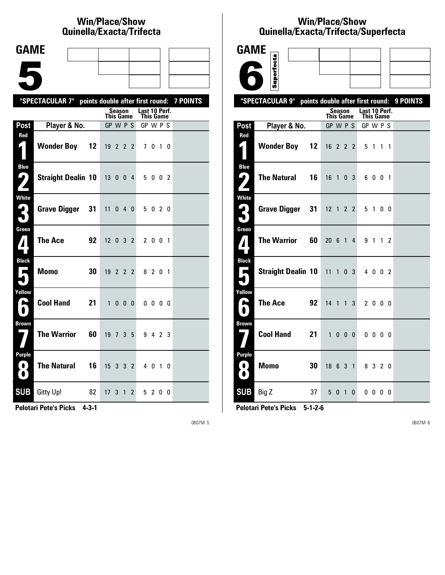# **Win/Place/Show Qui nel la/Exacta/Tri fecta**

| <b>GAME</b>                                                                          |                                                           |    |    |                            |                       |               |              |  |  |
|--------------------------------------------------------------------------------------|-----------------------------------------------------------|----|----|----------------------------|-----------------------|---------------|--------------|--|--|
|                                                                                      |                                                           |    |    |                            |                       |               |              |  |  |
|                                                                                      |                                                           |    |    |                            |                       |               |              |  |  |
|                                                                                      |                                                           |    |    |                            |                       |               |              |  |  |
|                                                                                      | "SPECTACULAR 7" points double after first round: 7 POINTS |    |    |                            |                       | Last 10 Perf. |              |  |  |
|                                                                                      |                                                           |    |    | Season<br><b>This Game</b> |                       | This Game     |              |  |  |
| Post<br>Red                                                                          | Player & No.                                              |    |    | GP W P S                   |                       | GP W P S      |              |  |  |
| $\mathbf{r}$                                                                         | <b>Wonder Boy</b>                                         | 12 |    | 19 2 2 2                   |                       |               | 7010         |  |  |
| <b>Blue</b><br>9                                                                     | Straight Dealin 10 13 0 0 4                               |    |    |                            |                       |               | 5 0 0 2      |  |  |
| <b>White</b><br>2                                                                    | Grave Digger 31                                           |    |    | $11$ 0 4 0                 |                       |               | 5 0 2 0      |  |  |
| Green<br>$\boldsymbol{I}$                                                            | <b>The Ace</b>                                            | 92 |    | $12 \t0 \t3 \t2$           |                       |               | 2 0 0 1      |  |  |
| <b>Black</b><br>П                                                                    | <b>Momo</b>                                               | 30 |    | 19 2 2 2                   |                       |               | 8 2 0 1      |  |  |
| Yellow<br>А                                                                          | <b>Cool Hand</b>                                          | 21 | 1  | $0\quad 0\quad 0\quad$     |                       |               | $0\,0\,0\,0$ |  |  |
| <b>Brown</b>                                                                         | <b>The Warrior</b>                                        | 60 |    | 19 7 3 5                   |                       |               | 9 4 2 3      |  |  |
| Purple<br>$\left( 0\right)$<br>$\left( \begin{array}{c} \bullet \end{array} \right)$ | <b>The Natural</b>                                        | 16 |    | $15 \t3 \t3 \t2$           |                       |               | 4 0 1 0      |  |  |
| <b>SUB</b>                                                                           | Gitty Up!<br>82                                           |    | 17 | 3 1                        | $\mathbf{2}^{\prime}$ |               | 5 2 0 0      |  |  |

**Pelotari Pete's Picks 4-3-1**

0607M 5

#### **Win/Place/Show Qui nel la/Exacta/Tri fecta/Super fecta**

| <b>GAME</b>                             |                                                     |                      |        |                   |                            |                          |             |          |
|-----------------------------------------|-----------------------------------------------------|----------------------|--------|-------------------|----------------------------|--------------------------|-------------|----------|
|                                         | Superfecta                                          |                      |        |                   |                            |                          |             |          |
|                                         |                                                     |                      |        |                   |                            |                          |             |          |
|                                         | "SPECTACULAR 9"<br>points double after first round: |                      |        |                   |                            |                          |             | 9 POINTS |
|                                         |                                                     | <b>This Game</b>     | Season |                   | Last 10 Perf.<br>This Game |                          |             |          |
| Post                                    | Player & No.                                        | GP W P S             |        |                   | GP W P S                   |                          |             |          |
| Red<br>4.                               | <b>Wonder Boy</b><br>$12 \,$                        | 16 2 2 2             |        |                   | 5 1                        |                          | $1 \quad 1$ |          |
| <b>Blue</b><br>4<br>$\mathbf{z}$        | <b>The Natural</b><br>16                            | $16$ 1 0 3           |        |                   |                            | 6001                     |             |          |
| <b>White</b><br>$\mathbf{G}_1$<br>5     | <b>Grave Digger</b><br>31                           | $12$ 1 2 2           |        |                   |                            | 5 1 0 0                  |             |          |
| Green<br>$\boldsymbol{I}$               | <b>The Warrior</b><br>60                            | $20 \t6 \t1$         |        | 4                 |                            | 9 1 1 2                  |             |          |
| <b>Black</b><br>Е                       | <b>Straight Dealin 10</b>                           | $11 \t1 \t0 \t3$     |        |                   |                            | 4 0 0 2                  |             |          |
| Yellow<br>۰<br>$\blacksquare$           | <b>The Ace</b><br>92                                | $14 \quad 1 \quad 1$ |        | 3                 |                            | 2000                     |             |          |
| <b>Brown</b>                            | <b>Cool Hand</b><br>21                              | $\mathbf{1}$         |        | $0\quad 0\quad 0$ |                            | $0\quad 0\quad 0\quad 0$ |             |          |
| <b>Purple</b><br>$\bullet$<br>$\bullet$ | 30<br>Momo                                          | 18 6 3 1             |        |                   |                            | 8 3 2 0                  |             |          |
| <b>SUB</b>                              | Big Z<br>37                                         |                      | 5 0 1  | $\mathbf{0}$      |                            | $0\,0\,0\,0$             |             |          |

**Pelotari Pete's Picks 5-1-2-6**